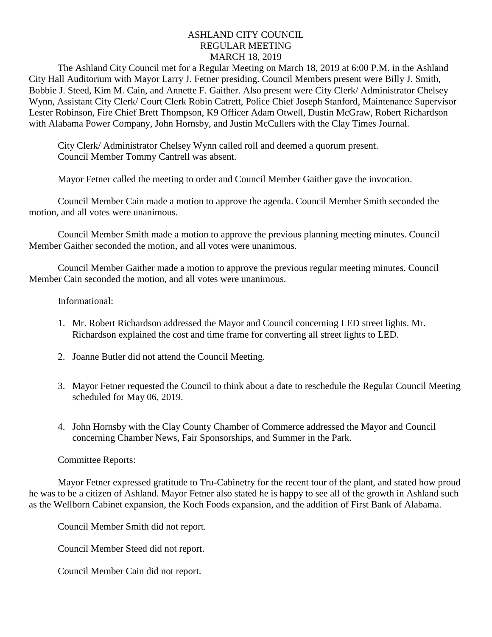## ASHLAND CITY COUNCIL REGULAR MEETING MARCH 18, 2019

The Ashland City Council met for a Regular Meeting on March 18, 2019 at 6:00 P.M. in the Ashland City Hall Auditorium with Mayor Larry J. Fetner presiding. Council Members present were Billy J. Smith, Bobbie J. Steed, Kim M. Cain, and Annette F. Gaither. Also present were City Clerk/ Administrator Chelsey Wynn, Assistant City Clerk/ Court Clerk Robin Catrett, Police Chief Joseph Stanford, Maintenance Supervisor Lester Robinson, Fire Chief Brett Thompson, K9 Officer Adam Otwell, Dustin McGraw, Robert Richardson with Alabama Power Company, John Hornsby, and Justin McCullers with the Clay Times Journal.

City Clerk/ Administrator Chelsey Wynn called roll and deemed a quorum present. Council Member Tommy Cantrell was absent.

Mayor Fetner called the meeting to order and Council Member Gaither gave the invocation.

Council Member Cain made a motion to approve the agenda. Council Member Smith seconded the motion, and all votes were unanimous.

Council Member Smith made a motion to approve the previous planning meeting minutes. Council Member Gaither seconded the motion, and all votes were unanimous.

Council Member Gaither made a motion to approve the previous regular meeting minutes. Council Member Cain seconded the motion, and all votes were unanimous.

## Informational:

- 1. Mr. Robert Richardson addressed the Mayor and Council concerning LED street lights. Mr. Richardson explained the cost and time frame for converting all street lights to LED.
- 2. Joanne Butler did not attend the Council Meeting.
- 3. Mayor Fetner requested the Council to think about a date to reschedule the Regular Council Meeting scheduled for May 06, 2019.
- 4. John Hornsby with the Clay County Chamber of Commerce addressed the Mayor and Council concerning Chamber News, Fair Sponsorships, and Summer in the Park.

## Committee Reports:

Mayor Fetner expressed gratitude to Tru-Cabinetry for the recent tour of the plant, and stated how proud he was to be a citizen of Ashland. Mayor Fetner also stated he is happy to see all of the growth in Ashland such as the Wellborn Cabinet expansion, the Koch Foods expansion, and the addition of First Bank of Alabama.

Council Member Smith did not report.

Council Member Steed did not report.

Council Member Cain did not report.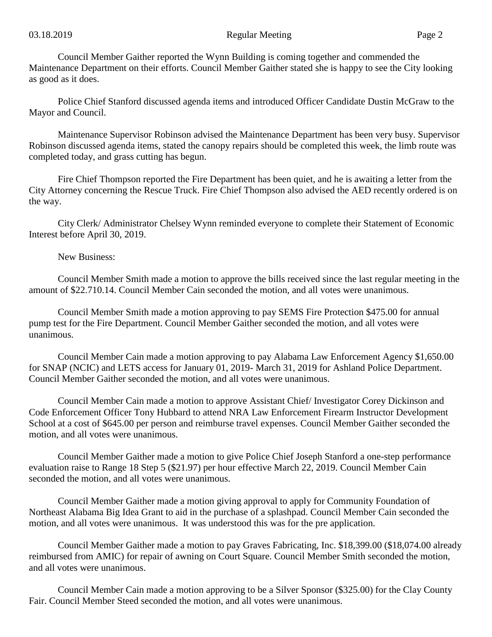Council Member Gaither reported the Wynn Building is coming together and commended the Maintenance Department on their efforts. Council Member Gaither stated she is happy to see the City looking as good as it does.

Police Chief Stanford discussed agenda items and introduced Officer Candidate Dustin McGraw to the Mayor and Council.

Maintenance Supervisor Robinson advised the Maintenance Department has been very busy. Supervisor Robinson discussed agenda items, stated the canopy repairs should be completed this week, the limb route was completed today, and grass cutting has begun.

Fire Chief Thompson reported the Fire Department has been quiet, and he is awaiting a letter from the City Attorney concerning the Rescue Truck. Fire Chief Thompson also advised the AED recently ordered is on the way.

City Clerk/ Administrator Chelsey Wynn reminded everyone to complete their Statement of Economic Interest before April 30, 2019.

New Business:

Council Member Smith made a motion to approve the bills received since the last regular meeting in the amount of \$22.710.14. Council Member Cain seconded the motion, and all votes were unanimous.

Council Member Smith made a motion approving to pay SEMS Fire Protection \$475.00 for annual pump test for the Fire Department. Council Member Gaither seconded the motion, and all votes were unanimous.

Council Member Cain made a motion approving to pay Alabama Law Enforcement Agency \$1,650.00 for SNAP (NCIC) and LETS access for January 01, 2019- March 31, 2019 for Ashland Police Department. Council Member Gaither seconded the motion, and all votes were unanimous.

Council Member Cain made a motion to approve Assistant Chief/ Investigator Corey Dickinson and Code Enforcement Officer Tony Hubbard to attend NRA Law Enforcement Firearm Instructor Development School at a cost of \$645.00 per person and reimburse travel expenses. Council Member Gaither seconded the motion, and all votes were unanimous.

Council Member Gaither made a motion to give Police Chief Joseph Stanford a one-step performance evaluation raise to Range 18 Step 5 (\$21.97) per hour effective March 22, 2019. Council Member Cain seconded the motion, and all votes were unanimous.

Council Member Gaither made a motion giving approval to apply for Community Foundation of Northeast Alabama Big Idea Grant to aid in the purchase of a splashpad. Council Member Cain seconded the motion, and all votes were unanimous. It was understood this was for the pre application.

Council Member Gaither made a motion to pay Graves Fabricating, Inc. \$18,399.00 (\$18,074.00 already reimbursed from AMIC) for repair of awning on Court Square. Council Member Smith seconded the motion, and all votes were unanimous.

Council Member Cain made a motion approving to be a Silver Sponsor (\$325.00) for the Clay County Fair. Council Member Steed seconded the motion, and all votes were unanimous.